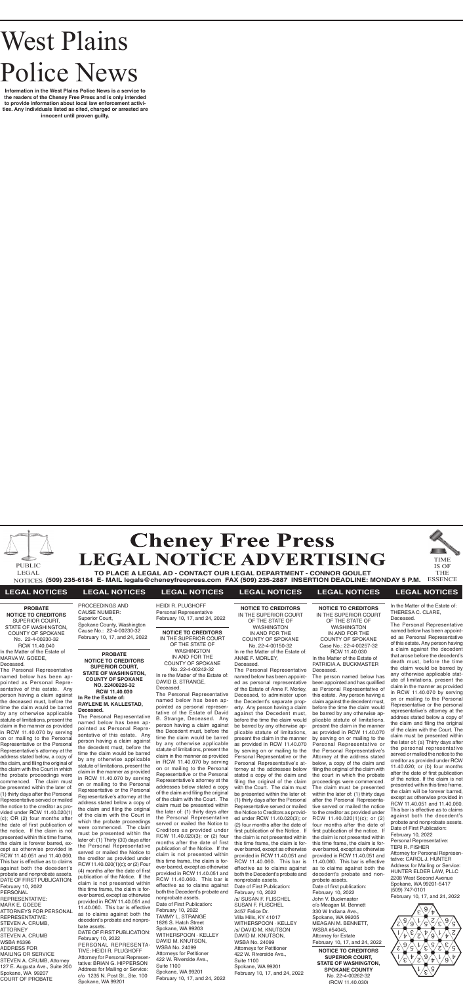**(509) 235-6184 E- MAIL legals@cheneyfreepress.com FAX (509) 235-2887 INSERTION DEADLINE: MONDAY 5 P.M.** NOTICES ESSENCE



#### **LEGAL NOTICES LEGAL NOTICES LEGAL NOTICES LEGAL NOTICES LEGAL NOTICES LEGAL NOTICES**

# West Plains Police News

**Information in the West Plains Police News is a service to the readers of the Cheney Free Press and is only intended to provide information about local law enforcement activities. Any individuals listed as cited, charged or arrested are innocent until proven guilty.**

**PROBATE NOTICE TO CREDITORS** SUPERIOR COURT, STATE OF WASHINGTON, COUNTY OF SPOKANE No. 22-4-00230-32 RCW 11.40.040 In the Matter of the Estate of MARVA W. GOEDE, Deceased.

The Personal Representative named below has been appointed as Personal Representative of this estate. Any person having a claim against the deceased must, before the time the claim would be barred by any otherwise applicable statute of limitations, present the claim in the manner as provided in RCW 11.40.070 by serving on or mailing to the Personal Representative or the Personal Representative's attorney at the address stated below, a copy of the claim, and filing the original of the claim with the Court in which the probate proceedings were commenced. The claim must be presented within the later of: (1) thirty days after the Personal Representative served or mailed the notice to the creditor as provided under RCW 11.40.020(1) (c); OR (2) four months after the date of first publication of the notice. If the claim is not presented within this time frame, the claim is forever barred, except as otherwise provided in RCW 11.40.051 and 11.40.060. This bar is effective as to claims against both the decedent's probate and nonprobate assets. DATE OF FIRST PUBLICATION: February 10, 2022 PERSONAL REPRESENTATIVE: MARK E. GOEDE ATTORNEYS FOR PERSONAL REPRESENTATIVE: STEVEN A. CRUMB, ATTORNEY STEVEN A. CRUMB WSBA #6396 ADDRESS FOR MAILING OR SERVICE STEVEN A. CRUMB, Attorney

127 E. Augusta Ave., Suite 200

Spokane, WA 99207 COURT OF PROBATE

WASHINGTON IN AND FOR THE COUNTY OF SPOKANE No. 22-4-00242-32 In re the Matter of the Estate of: DAVID B. STRANGE,

#### Deceased.

The Personal Representative named below has been appointed as personal representative of the Estate of David B. Strange, Deceased. Any person having a claim against the Decedent must, before the time the claim would be barred by any otherwise applicable statute of limitations, present the claim in the manner as provided in RCW 11.40.070 by serving on or mailing to the Personal Representative or the Personal Representative's attorney at the addresses below stated a copy of the claim and filing the original of the claim with the Court. The claim must be presented within the later of: (1) thirty days after the Personal Representative served or mailed the Notice to Creditors as provided under RCW 11.40.020(3); or (2) four months after the date of first publication of the Notice. If the claim is not presented within this time frame, the claim is forever barred, except as otherwise provided in RCW 11.40.051 and RCW 11.40.060. This bar is effective as to claims against both the Decedent's probate and nonprobate assets. Date of First Publication: February 10, 2022 TAMMY L. STRANGE 1826 S. Hatch Street Spokane, WA 99203 WITHERSPOON · KELLEY DAVID M. KNUTSON, WSBA No. 24099 Attorneys for Petitioner 422 W. Riverside Ave., Suite 1100 Spokane, WA 99201 February 10, 17, and 24, 2022

#### **PROBATE NOTICE TO CREDITORS SUPERIOR COURT, STATE OF WASHINGTON, COUNTY OF SPOKANE NO. 22400226-32 RCW 11.40.030 In Re the Estate of: RAYLENE M. KALLESTAD, Deceased.**

The Personal Representative named below has been appointed as Personal Representative of this estate. Any person having a claim against the decedent must, before the time the claim would be barred by any otherwise applicable statute of limitations, present the claim in the manner as provided in RCW 11.40.070 by serving on or mailing to the Personal Representative or the Personal Representative's attorney at the address stated below a copy of the claim and filing the original of the claim with the Court in which the probate proceedings were commenced. The claim must be presented within the later of: (1) Thirty (30) days after the Personal Representative served or mailed the Notice to the creditor as provided under RCW 11.40.020(1)(c); or (2) Four (4) months after the date of first publication of the Notice. If the claim is not presented within this time frame, the claim is forever barred, except as otherwise provided in RCW 11.40.051 and 11.40.060. This bar is effective as to claims against both the decedent's probate and nonprobate assets.

**NOTICE TO CREDITORS** IN THE SUPERIOR COURT OF THE STATE OF February 10, 17, and 24, 2022

DATE OF FIRST PUBLICATION: February 10, 2022 PERSONAL REPRESENTA-TIVE: HEIDI R. PLUGHOFF Attorney for Personal Representative: BRIAN G. HIPPERSON Address for Mailing or Service: c/o 1235 N. Post St., Ste. 100 Spokane, WA 99201

**NOTICE TO CREDITORS** IN THE SUPERIOR COURT OF THE STATE OF WASHINGTON IN AND FOR THE COUNTY OF SPOKANE No. 22-4-00150-32 In re the Matter of the Estate of: ANNE F. MORLEY, Deceased.

The Personal Representative named below has been appointed as personal representative of the Estate of Anne F. Morley, Deceased, to administer upon the Decedent's separate property. Any person having a claim against the Decedent must, before the time the claim would be barred by any otherwise applicable statute of limitations, present the claim in the manner as provided in RCW 11.40.070 by serving on or mailing to the Personal Representative or the Personal Representative's attorney at the addresses below stated a copy of the claim and filing the original of the claim with the Court. The claim must be presented within the later of: (1) thirty days after the Personal Representative served or mailed the Notice to Creditors as provided under RCW 11.40.020(3); or (2) four months after the date of first publication of the Notice. If the claim is not presented within this time frame, the claim is forever barred, except as otherwise provided in RCW 11.40.051 and RCW 11.40.060. This bar is effective as to claims against both the Decedent's probate and nonprobate assets. Date of First Publication:

February 10, 2022 /s/ SUSAN F. FLISCHEL SUSAN F. FLISCHEL 2457 Felice Dr. Villa Hills, KY 41017 WITHERSPOON · KELLEY /s/ DAVID M. KNUTSON DAVID M. KNUTSON, WSBA No. 24099 Attorneys for Petitioner 422 W. Riverside Ave., Suite 1100 Spokane, WA 99201 February 10, 17, and 24, 2022

PROCEEDINGS AND CAUSE NUMBER: Superior Court, Spokane County, Washington Cause No.: 22-4-00230-32 February 10, 17, and 24, 2022

HEIDI R. PLUGHOFF Personal Representative

**NOTICE TO CREDITORS** IN THE SUPERIOR COURT OF THE STATE OF WASHINGTON IN AND FOR THE COUNTY OF SPOKANE Case No.: 22-4-00257-32 RCW 11.40.030 In the Matter of the Estate of PATRICIA A. BUCKMASTER Deceased.

The person named below has been appointed and has qualified as Personal Representative of this estate. Any person having a claim against the decedent must, before the time the claim would be barred by any otherwise applicable statute of limitations, present the claim in the manner as provided in RCW 11.40.070 by serving on or mailing to the Personal Representative or the Personal Representative's Attorney at the address stated below, a copy of the claim and filing the original of the claim with the court in which the probate proceedings were commenced. The claim must be presented within the later of: (1) thirty days after the Personal Representative served or mailed the notice to the creditor as provided under RCW 11.40.020(1)(c); or (2) four months after the date of first publication of the notice. If the claim is not presented within this time frame, the claim is forever barred, except as otherwise provided in RCW 11.40.051 and 11.40.060. This bar is effective as to claims against both the decedent's probate and nonprobate assets. Date of first publication: February 10, 2022 John V. Buckmaster c/o Meagan M. Bennett 330 W Indiana Ave., Spokane, WA 99205 MEAGAN M. BENNETT,

WSBA #54045, Attorney for Estate February 10, 17, and 24, 2022 **NOTICE TO CREDITORS SUPERIOR COURT, STATE OF WASHINGTON, SPOKANE COUNTY** No. 22-4-00262-32

(RCW 11.40.030)

In the Matter of the Estate of:

THERESA C. CLARE, **Deceased** The Personal Representative

named below has been appointed as Personal Representative of this estate. Any person having a claim against the decedent that arose before the decedent's death must, before the time the claim would be barred by any otherwise applicable statute of limitations, present the claim in the manner as provided in RCW 11.40.070 by serving on or mailing to the Personal Representative or the personal representative's attorney at the address stated below a copy of the claim and filing the original of the claim with the Court. The claim must be presented within the later of: (a) Thirty days after the personal representative served or mailed the notice to the creditor as provided under RCW 11.40.020; or (b) four months after the date of first publication of the notice. If the claim is not presented within this time frame, the claim will be forever barred, except as otherwise provided in RCW 11.40.051 and 11.40.060. This bar is effective as to claims against both the decedent's probate and nonprobate assets. Date of First Publication: February 10, 2022 Personal Representative: TERI R. FISHER Attorney for Personal Representative: CAROL J. HUNTER Address for Mailing or Service: HUNTER ELDER LAW, PLLC 2208 West Second Avenue Spokane, WA 99201-5417 (509) 747-0101 February 10, 17, and 24, 2022

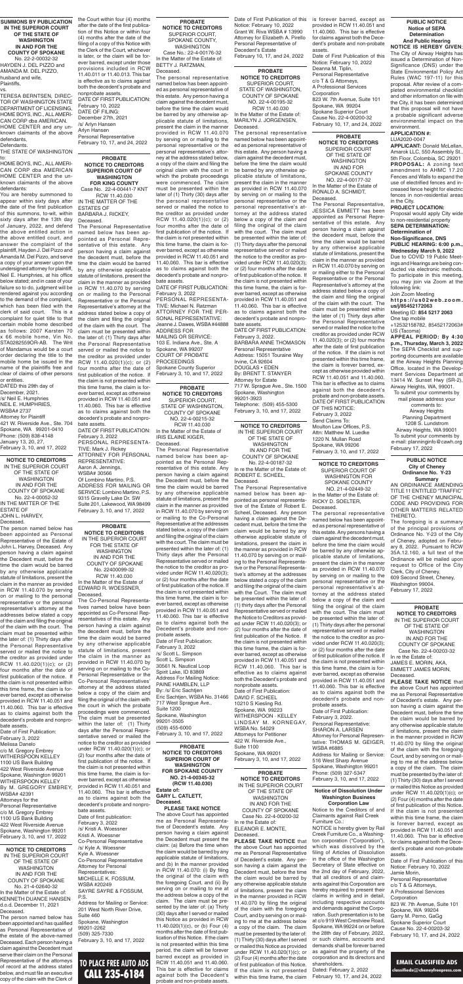#### **EMAIL CLASSIFIED ADS classifieds@cheneyfreepress.com**

**TO PLACE FREE AUTO ADS** CALL 235-6184

#### **PROBATE NOTICE TO CREDITORS**

SUPERIOR COURT STATE OF WASHINGTON, COUNTY OF SPOKANE NO. 22-4-00195-32 RCW 11.40.030

In the Matter of the Estate of: MARILYN J. JORGENSEN, Deceased.

The personal representative named below has been appointed as personal representative of this estate. Any person having a claim against the decedent must, before the time the claim would be barred by any otherwise applicable statute of limitations, present the claim in the manner as provided in RCW 11.40.070 by serving on or mailing to the personal representative or the personal representative's attorney at the address stated below a copy of the claim and filing the original of the claim with the court. The claim must be presented within the later of: (1) Thirty days after the personal representative served or mailed the notice to the creditor as provided under RCW 11.40.020(3); or (2) four months after the date of first publication of the notice. If the claim is not presented within this time frame, the claim is forever barred, except as otherwise provided in RCW 11.40.051 and 11.40.060. This bar is effective as to claims against both the decedent's probate and nonprobate assets. DATE OF FIRST PUBLICATION: February 3, 2022. BARBARA ANNE THOMASON Personal Representative Address: 15051 Touraine Way Irvine, CA 92604 DOUGLAS • EDEN

By: BRENT T. STANYER Attorney for Estate 717 W. Sprague Ave., Ste. 1500 Snokane, Washington Telephone: (509) 455-5300 February 3, 10, and 17, 2022

99201-3923

#### **NOTICE TO CREDITORS**

IN THE SUPERIOR COURT OF THE STATE OF WASHINGTON IN AND FOR THE COUNTY OF SPOKANE No. 22-4-00187-32

In re the Matter of the Estate of: ROBERT E. SCHEEL,

Deceased. The Personal Representative named below has been appointed as personal representative of the Estate of Robert E. Scheel, Deceased. Any person having a claim against the Decedent must, before the time the claim would be barred by any otherwise applicable statute of limitations, present the claim in the manner as provided in RCW 11.40.070 by serving on or mailing to the Personal Representative or the Personal Representative's attorney at the addresses below stated a copy of the claim and filing the original of the claim with the Court. The claim must be presented within the later of: (1) thirty days after the Personal Representative served or mailed the Notice to Creditors as provided under RCW 11.40.020(3); or (2) four months after the date of first publication of the Notice. If the claim is not presented within this time frame, the claim is forever barred, except as otherwise provided in RCW 11.40.051 and RCW 11.40.060. This bar is effective as to claims against both the Decedent's probate and nonprobate assets. Date of First Publication: DAVID F. SCHEEL 10210 S Kiesling Rd. Spokane, WA 99223 WITHERSPOON · KELLEY LINDSAY M. KORNEGAY, WSBA No. 54029 Attorneys for Petitioner 422 W. Riverside Ave., Suite 1100 Spokane, WA 99201 February 3, 10, and 17, 2022

#### **PROBATE NOTICE TO CREDITORS** SUPERIOR COURT, SPOKANE COUNTY,

WASHINGTON Case No.: 22-4-00176-32 In the Matter of the Estate of: BETTY J. RATZMAN,

#### Deceased.

The personal representative named below has been appointed as personal representative of this estate. Any person having a claim against the decedent must, before the time the claim would be barred by any otherwise applicable statute of limitations, present the claim in the manner provided in RCW 11.40.070 by serving on or mailing to the personal representative or the personal representative's attorney at the address stated below, a copy of the claim and filing the original claim with the court in which the probate proceedings were commenced. The claim must be presented within the later of (1) Thirty (30) days after the personal representative served or mailed the notice to the creditor as provided under RCW 11.40.020(1)(c); or (2) four months after the date of first publication of the notice. If the claim is not presented within this time frame, the claim is forever barred, except as otherwise provided in RCW 11.40.051 and 11.40.060. This bar is effective as to claims against both the decedent's probate and nonpro-

bate assets. DATE OF FIRST PUBLICATION: February 3, 2022

PERSONAL REPRESENTA-TIVE: Michael N. Ratzman ATTORNEY FOR THE PER-SONAL REPRESENTATIVE: Jeanne J. Dawes, WSBA #44888 ADDRESS FOR MAILING OR SERVICE: 103 E. Indiana Ave., Ste. A Spokane, WA 99207 COURT OF PROBATE PROCEEDINGS Spokane County Superior February 3, 10, and 17, 2022

**NOTICE TO CREDITORS** IN THE SUPERIOR COURT OF THE STATE OF WASHINGTON IN AND FOR THE COUNTY OF SPOKANE No. 22-4-00052-32 IN THE MATTER OF THE ESTATE OF JOHN L. HARVEY,

Deceased.

The person named below has been appointed as Personal Representative of the Estate of John L. Harvey, Deceased. Any person having a claim against the Decedent must, before the time the claim would be barred by any otherwise applicable statute of limitations, p claim in the manner as provided in RCW 11.40.070 by serving on or mailing to the personal representative or the personal representative's attorney at the addresses below stated a copy of the claim and filing the original of the claim with the court. The claim must be presented within the later of: (1) Thirty days after the Personal Representative served or mailed the notice to the creditor as provided under RCW 11.40.020(1)(c); or (2) four months after the date of first publication of the notice. If the claim is not presented within this time frame, the claim is forever barred, except as otherwise provided in RCW 11.40.051 and 11.40.060. This bar is effective as to claims against both the decedent's probate and nonprobate assets. Date of First Publication: February 3, 2022 Melissa Danelo c/o M. Gregory Embrey WITHERSPOON KELLEY 1100 US Bank Building 422 West Riverside Avenue Spokane, Washington 99201 WITHERSPOON KELLEY By M. GREGORY EMBREY, WSBA# 42391 Attorneys for the Personal Representative c/o M. Gregory Embrey 1100 US Bank Building 422 West Riverside Avenue Spokane, Washington 99201 February 3, 10, and 17, 2022

**PROBATE NOTICE TO CREDITORS** IN THE SUPERIOR COURT FOR THE STATE OF WASHINGTON IN AND FOR THE COUNTY OF SPOKANE No. 22400099-32 RCW 11.40.030 In the Matter of the Estate of EDWARD R. WOESSNER, Deceased. The Co-Personal Representatives named below have been appointed as Co-Personal Representatives of this estate. Any person having a claim against the decedent must, before the time the claim would be barred by any otherwise applicable statute of limitations, present the claim in the manner as provided in RCW 11.40.070 by serving on or mailing to the Co-Personal Representative or the Co-Personal Representatives' attorney at the address stated below a copy of the claim and filing the original of the claim with the court in which the probate proceedings were commenced. The claim must be presented within the later of: (1) Thirty days after the Personal Representative served or mailed the notice to the creditor as provided under RCW 11.40.020(1)(c); or (2) four months after the date of first publication of the notice. If the claim is not presented within this time frame, the claim is forever barred, except as otherwise provided in RCW 11.40.051 and 11.40.060. This bar is effective as to claims against both the decedent's probate and nonprobate assets. Date of first publication: February 3, 2022 /s/ Kristi A. Woessner Kristi A. Woessner Co-Personal Representative /s/ Kyle A. Woessner Kyle A. Woessner Co-Personal Representative Attorney for Personal Representatives: MICHELLE K. FOSSUM, WSBA #20249 SAYRE SAYRE & FOSSUM, P.S. Address for Mailing or Service: 201 West North River Drive, Suite 460 Spokane, Washington 99201-2262 (509) 325-7330 February 3, 10, and 17, 2022

#### **PROBATE NOTICE TO CREDITORS SUPERIOR COURT OF WASHINGTON FOR KING COUNTY** Case No. 22-4-00441-7 KNT

RCW 11.40.030 IN THE MATTER OF THE ESTATES OF BARBARA J. RICKEY, Deceased.

The Personal Representative named below has been appointed as Personal Representative of this estate. Any person having a claim against the decedent must, before the time the claim would be barred by any otherwise applicable statute of limitations, present the claim in the manner as provided in RCW 11.40.070 by serving on or mailing to the Personal Representative or the Personal Representative's attorney at the address stated below a copy of the claim and filing the original of the claim with the court. The claim must be presented within the later of: (1) Thirty days after the Personal Representative served or mailed the notice to the creditor as provided under RCW 11.40.020(1)(c); or (2) four months after the date of first publication of the notice. If the claim is not presented within this time frame, the claim is forever barred, except as otherwise provided in RCW 11.40.051 and 11.40.060. This bar is effective as to claims against both the decedent's probate and nonpro-

bate assets. DATE OF FIRST PUBLICATION: February 3, 2022 PERSONAL REPRESENTA-TIVE: Mark J. Rickey ATTORNEY FOR PERSONAL REPRESENTATIVE: Aaron A. Jennings, WSBA# 30566 Of Lombino Martino, P.S. ADDRESS FOR MAILING OR SERVICE: Lombino Martino, P.S. 9315 Gravelly Lake Dr. SW Suite 201, Lakewood, WA 98499 February 3, 10, and 17, 2022

**SUMMONS BY PUBLICATION IN THE SUPERIOR COURT OF THE STATE OF WASHINGTON IN AND FOR THE COUNTY OF SPOKANE** No. 22-2-00032-32 HAYDEN J. DEL PIZZO and AMANDA M. DEL PIZZO, husband and wife, Plaintiffs, vs.

TERESA BERNTSEN, DIREC-TOR OF WASHINGTON STATE DEPARTMENT OF LICENSING, HOME BOYS, INC., ALL AMERI-CAN CORP dba AMERICAN. HOME CENTER and any unknown claimants of the above defendants, Defendants.

THE STATE OF WASHINGTON to:

HOME BOYS, INC., ALL AMERI-CAN CORP dba AMERICAN HOME CENTER and the unknown claimants of the above defendants:

You are hereby summoned to appear within sixty days after the date of the first publication of this summons, to-wit, within sixty days after the 13th day of January, 2022, and defend the above entitled action in the above entitled court, and answer the complaint of the plaintiff, Hayden J. Del Pizzo and Amanda M. Del Pizzo, and serve a copy of your answer upon the undersigned attorney for plaintiff, Neil E. Humphries, at his office below stated; and in case of your failure so to do, judgment will be rendered against you according to the demand of the complaint, which has been filed with the clerk of said court. This is a complaint for quiet title to that certain mobile home described as follows: 2007 Karsten 70 x 66 mobile home, Vin No. STA0282559OR-AB. The Writ of Mandamus would be a court order declaring the title to the mobile home be issued in the name of the plaintiffs free and clear of claims of other persons or entities.

DATED this 29th day of December, 2021. /s/ Neil E. Humphries NEIL E. HUMPHRIES, WSBA# 2737 Attorney for Plaintiff 421 W. Riverside Ave., Ste. 704 Spokane, WA 99201-0410 Phone: (509) 838-4148 January 13, 20, 27, February 3, 10, and 17, 2022

> **NOTICE TO CREDITORS** SUPERIOR COURT OF WASHINGTON FOR SPOKANE COUNTY NO. 21-4-02449-32 In the Matter of the Estate of: RICKY D. SOELTER,

Deceased. The personal representative named below has been appointed as personal representative of

this estate. Any persons having a claim against the decedent must, before the time the claim would be barred by any otherwise applicable statute of limitations, present the claim in the manner as provided in RCW 11.40.070 by serving on or mailing to the personal representative or the personal representative's attorney at the address stated below a copy of the claim and filing the original of the claim with the court. The claim must be presented within the later of: (1) Thirty days after the personal representative served or mailed the notice to the creditor as provided under RCW 11.40.020(3); or (2) four months after the date of first publication of the notice. If the claim is not presented within this time frame, the claim is forever barred, except as otherwise provided in RCW 11.40.051 and 11.40.060. This bar is effective as to claims against both the decedent's probate and nonprobate assets. Date of First Publication: February 3, 2022. Personal Representative: SHARON A. LARSEN Attorney for Personal Representative: THOMAS M. GEIGER, WSBA #6885 Address for Mailing or Service: 516 West Sharp Avenue Spokane, Washington 99201 Phone: (509) 327-5347 February 3, 10, and 17, 2022

#### **PROBATE NOTICE TO CREDITORS**

SUPERIOR COURT OF THE STATE OF WASHINGTON IN AND FOR SPOKANE COUNTY NO. 22-4-00177-32 In the Matter of the Estate of RONALD A. SCHMIDT,

Deceased. The Personal Representative, JESSICA EMMETT has been appointed as Personal Representative of this estate. Any person having a claim against the decedent must, before the time the claim would be barred by any otherwise applicable statute of limitations, present the claim in the manner as provided in RCW 11.40.070 by serving on or mailing either to the Personal Representative or the Personal Representative's attorney at the address stated below a copy of the claim and filing the original of the claim with the court. The claim must be presented within the later of (1) Thirty days after the Personal Representative served or mailed the notice to the creditor as provided under RCW 11.40.020(3); or (2) four months after the date of first publication of the notice. If the claim is not presented within this time frame, the claim is forever barred, except as otherwise provided within RCW 11.40.051 and 11.40.060. This bar is effective as to claims against both the decedent's probate and non-probate assets. DATE OF FIRST PUBLICATION OF THIS NOTICE: February 3, 2022 Send Claims To: Moulton Law Offices, P.S. Attn: Matthew M. Luedke 1220 N. Mullan Road Spokane, WA 99206 February 3, 10, and 17, 2022

**PROBATE NOTICE TO CREDITORS** SUPERIOR COURT, STATE OF WASHINGTON, COUNTY OF SPOKANE NO. 22-4-00215-32 RCW 11.40.030 In the Matter of the Estate of

IRIS ELAINE KIGER,

#### Deceased.

The Personal Representative named below has been appointed as the Personal Representative of this estate. Any person having a claim against the Decedent must, before the time the claim would be barred by any otherwise applicable statute of limitations, present the claim in the manner as provided in RCW 11.40.070 by serving on or mailing to the Co-Personal Representative at the addresses stated below, a copy of the claim and filing the original of the claim with the court. The claim must be presented within the later of: (1) Thirty days after the Personal Representative served or mailed the notice to the creditor as provided under RCW 11.40.020(3);

or (2) four months after the date

of first publication of the notice. If the claim is not presented within this time frame, the claim is forever barred, except as otherwise provided in RCW 11.40.051 and 11.40.060. This bar is effective as to claims against both the Decedent's probate and nonprobate assets. Date of First Publication: February 3, 2022 /s/ Scott L. Simpson Scott L. Simpson 30561 N. Nautical Loop Spirit Lake, ID 83869 Address For Mailing Notice: PAINE HAMBLEN, LLP By: /s/ Eric Sachtjen Eric Sachtjen, WSBA No. 31466 717 West Sprague Ave., Suite 1200 Spokane, Washington 99201-3505 (509) 455-6000 February 3, 10, and 17, 2022

**PROBATE NOTICE TO CREDITORS SUPERIOR COURT OF WASHINGTON FOR SPOKANE COUNTY NO. 21-4-00345-32 (RCW 11.40.030) Estate of: GARY L. CATLETT, Deceased.**

**PLEASE TAKE NOTICE** The above Court has appointed me as Personal Representative of Decedent's estate. Any person having a claim against the Decedent must present the claim: (a) Before the time when the claim would be barred by any applicable statute of limitations, and (b) In the manner provided in RCW 11.40.070: (i) By filing the original of the claim with the foregoing Court, and (ii) By serving on or mailing to me at the address below a copy of the claim. The claim must be presented by the later of: (a) Thirty (30) days after I served or mailed this Notice as provided in RCW 11.40.020(1)(c), or (b) Four (4) months after the date of first publication of this Notice. If the claim is not presented within this time period, the claim will be forever barred except as provided in RCW 11.40.051 and 11.40.060. This bar is effective for claims against both the Decedent's probate and non-probate assets.

**PROBATE NOTICE TO CREDITORS**  IN THE SUPERIOR COURT OF THE STATE OF WASHINGTON IN AND FOR THE COUNTY OF SPOKANE Case No. 22-4-00200-32 In re the Estate of: ELEANOR E. MONTE, Deceased.

**PLEASE TAKE NOTICE** that the above Court has appointed me as Personal Representative of Decedent's estate. Any person having a claim against the Decedent must, before the time the claim would be barred by any otherwise applicable statute of limitations, present the claim in the manner provided in RCW 11.40.070 by filing the original of the claim with the foregoing Court, and by serving on or mailing to me at the address below a copy of the claim. The claim must be presented by the later of: (1) Thirty (30) days after I served or mailed this Notice as provided under RCW 11.40.020(1)(c); or (2) Four (4) months after the date of first publication of this Notice. If the claim is not presented within this time frame, the claim

**PROBATE NOTICE TO CREDITORS**  IN THE SUPERIOR COURT OF THE STATE OF WASHINGTON IN AND FOR THE COUNTY OF SPOKANE Case No. 22-4-00203-32 In re the Estate of: JAMES E. MORIN, AKA, EMMETT JAMES MORIN,

Deceased. **PLEASE TAKE NOTICE** that the above Court has appointed me as Personal Representative of Decedent's estate. Any person having a claim against the Decedent must, before the time the claim would be barred by any otherwise applicable statute of limitations, present the claim in the manner provided in RCW 11.40.070 by filing the original of the claim with the foregoing Court, and by serving on or mailing to me at the address below a copy of the claim. The claim must be presented by the later of: (1) Thirty (30) days after I served or mailed this Notice as provided under RCW 11.40.020(1)(c); or (2) Four (4) months after the date of first publication of this Notice. If the claim is not presented within this time frame, the claim is forever barred, except as provided in RCW 11.40.051 and 11.40.060. This bar is effective for claims against both the Decedent's probate and non-probate assets.

Date of First Publication of this Notice: February 10, 2022 Jamie Morin, Personal Representative c/o T & G Attorneys, A Professional Services **Corporation** 823 W. 7th Avenue, Suite 101 Spokane, WA 99204 Garry M. Perno, GaGg Spokane Superior Court Cause No. 22-4-00203-32 February 10, 17, and 24, 2022

#### **Notice of Dissolution Under Washington Business Corporation Law**

Notice to the Creditors of and Claimants against Rail Creek Furniture Co.:

NOTICE is hereby given by Rail Creek Furniture Co., a Washington corporation ("Corporation"), which was dissolved by the filing of Articles of Dissolution in the office of the Washington Secretary of State effective on the 2nd day of February, 2022, that all creditors of and claimants against this Corporation are hereby required to present their claims in writing and in detail, including respective accounts and demands against the Corporation. Such presentation is to be at c/o 919 West Crestview Road, Spokane, WA 99224 on or before the 28th day of February, 2022, or such claims, accounts and demands shall be forever barred as against the property of the corporation and its directors and shareholders. Dated: February 2, 2022

February 10, 17, and 24, 2022

**NOTICE TO CREDITORS** IN THE SUPERIOR COURT OF THE STATE OF WASHINGTON IN AND FOR THE COUNTY OF SPOKANE No. 21-4-02640-32 In the Matter of the Estate of: KENNETH DUANCE HANSEN d.o.d. December 11, 2021 Deceased.

The person named below has been appointed and has qualified as Personal Representative of the estate of the above-named Deceased. Each person having a claim against the Decedent must serve their claim on the Personal Representative of the attorneys of record at the address stated below, and must file an executive copy of the claim with the Clerk of the Court within four (4) months after the date of the first publication of this Notice or within four (4) months after the date of the filing of a copy of this Notice with the Clerk of the Court, whichever is later, or the claim will be forever barred, except under those provisions included in RCW 11.40.011 or 11.40.013. This bar is effective as to claims against both the decedent's probate and nonprobate assets. DATE OF FIRST PUBLICATION: February 10, 2022 DATE OF FILING: December 27th, 2021 /s/ Arlyn Hansen Arlyn Hansen Personal Representative February 10, 17, and 24, 2022

Date of First Publication of this Notice: February 10, 2022 Grant W. Riva WSBA # 13990 Attorney for Elizabeth A. Pirello Personal Representative of Decedent's Estate February 10, 17, and 24, 2022

is forever barred, except as provided in RCW 11.40.051 and 11.40.060. This bar is effective for claims against both the Decedent's probate and non-probate assets. Date of First Publication of this Notice: February 10, 2022 Deanna M. Tiplin, Personal Representative c/o T & G Attorneys,

A Professional Services **Corporation** 823 W. 7th Avenue, Suite 101 Spokane, WA 99204 Spokane Superior Court Cause No. 22-4-00200-32 February 10, 17, and 24, 2022

#### **PUBLIC NOTICE City of Cheney Ordinance No. Y-23 Summary**

AN ORDINANCE AMENDING TITLE 11 ENTITLED "TRAFFIC" OF THE CHENEY MUNICIPAL CODE AND PROVIDING FOR OTHER MATTERS RELATED THERETO.

The foregoing is a summary of the principal provisions of Ordinance No. Y-23 of the City of Cheney, adopted on February 8, 2022. Pursuant to RCW 35A.12.160, a full text of the Ordinance will be mailed upon request to Office of the City Clerk, City of Cheney,

609 Second Street, Cheney, Washington 99004. February 17, 2022

#### **PUBLIC NOTICE Notice of SEPA Determination And Public Hearing**

**NOTICE IS HEREBY GIVEN**; The City of Airway Heights has issued a Determination of Non-Significance (DNS) under the State Environmental Policy Act Rules (WAC 197-11) for this proposal. After review of a completed environmental checklist and other information on file with the City, it has been determined that this proposal will not have a probable significant adverse environmental impact on the environment.

**APPLICATION #:**

LUA2020-0047 **APPLICANT:** Donald McLellan, Amarok LLC, 550 Assembly St., 5th Floor, Colombia, SC 29201 **PROPOSAL:** A zoning text amendment to AHMC 17.20 Fences and Walls to expand the use of electrified fences and increased fence height for electric fences in non-residential areas in the City.

#### **PROJECT LOCATION:**

Proposal would apply City wide to non-residential property **SEPA DETERMINATION: Determination of** 

**Non-Significance, DNS PUBLIC HEARING: 6:00 p.m., Wednesday March 9, 2022** Due to COVID 19 Public Meetings and Hearings are being conducted via electronic methods. To participate in this meeting, you may join via Zoom at the following link: Join Zoom Meeting

**https://us02web.zoom. us/j/85452172063**

Meeting ID: **854 5217 2063** One tap mobile

+12532158782, 85452172063# US (Tacoma)

**APPEAL PERIOD: By 4:30 p.m., Thursday, March 3, 2022** The SEPA Checklist and supporting documents are available at the Airway Heights Planning Office, located in the Development Services Department at 13414 W. Sunset Hwy (SR-2), Airway Heights, WA, 99001.

To submit your comments by mail please address your comments to: Airway Heights Planning Department 1208 S. Lundstrom Airway Heights, WA 99001 To submit your comments by e-mail: planninginfo@cawh.org February 17, 2022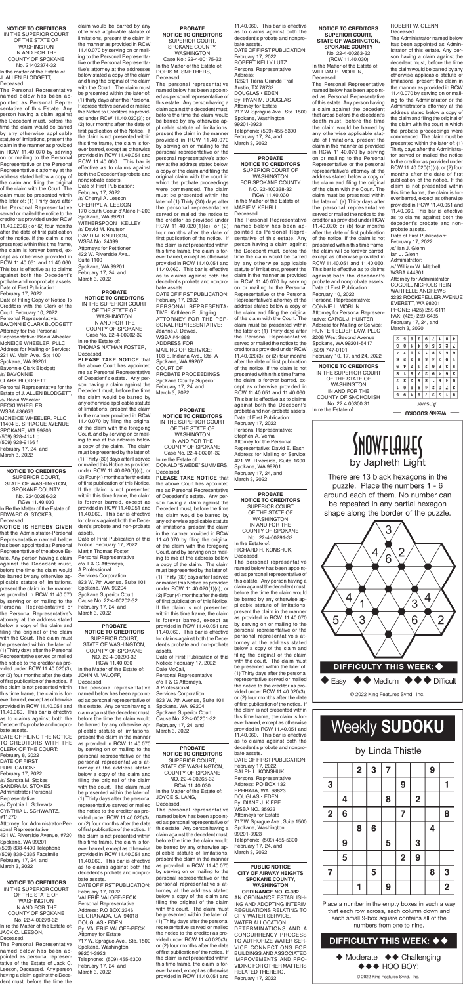WASHINGTON IN AND FOR THE COUNTY OF SPOKANE No. 22-4-00291-32 In the Estate of: RICHARD H. KONSHUK, Deceased.

The personal representative named below has been appointed as personal representative of this estate. Any person having a claim against the decedent must, before the time the claim would be barred by any otherwise applicable statute of limitations, present the claim in the manner as provided in RCW 11.40.070 by serving on or mailing to the personal representative or the personal representative's attorney at the address stated below a copy of the claim and filing the original of the claim with the court. The claim must be presented within the later of: (1) Thirty days after the personal representative served or mailed the notice to the creditor as provided under RCW 11.40.020(3); or (2) four months after the date of first publication of the notice. If the claim is not presented within this time frame, the claim is forever barred, except as otherwise provided in RCW 11.40.051 and 11.40.060. This bar is effective as to claims against both the decedent's probate and nonprobate assets. DATE OF FIRST PUBLICATION: February 17, 2022. RALPH L. KONSHUK Personal Representative Address: PO BOX 132 EPHRATA, WA 98823 DOUGLAS • EDEN By: DIANE J. KIEPE WSBA NO. 35933 Attorneys for Estate 717 W. Sprague Ave., Suite 1500 Spokane, Washington 99201-3923 Telephone: (509) 455-5300 February 17, 24, and March 3, 2022

**PROBATE NOTICE TO CREDITORS** SUPERIOR COURT OF THE STATE OF February 17, 24, and March 3, 2022

**PROBATE** 

**NOTICE TO CREDITORS** SUPERIOR COURT OF WASHINGTON FOR SPOKANE COUNTY NO. 22-400338-32 RCW 11.40.030 In the Matter of the Estate of: MARIE V. KEHRLI,

Deceased.

The Personal Representative named below has been appointed as Personal Representative of this estate. Any person having a claim against the Decedent must, before the time the claim would be barred by any otherwise applicable statute of limitations, present the claim in the manner as provided in RCW 11.40.070 by serving on or mailing to the Personal Representative or the Personal Representative's attorney at the address stated below a copy of the claim and filing the original of the claim with the Court. The claim must be presented within the later of: (1) Thirty days after the Personal Representative served or mailed the notice to the creditor as provided under RCW 11.40.020(3); or (2) four months after the date of first publication of the notice. If the claim is not presented within this time frame, the claim is forever barred, except as otherwise provided in RCW 11.40.051 and 11.40.060. This bar is effective as to claims against both the Decedent's probate and non-probate assets. Date of First Publication: February 17, 2022 Personal Representative: Stephen A. Verna Attorney for the Personal Representative: David E. Eash Address for Mailing or Service: 421 W. Riverside, Suite 1600, Spokane, WA 99201

**PROBATE NOTICE TO CREDITORS** SUPERIOR COURT, STATE OF WASHINGTON, COUNTY OF SPOKANE NO. 22-4-00290-32 RCW 11.40.030 In the Matter of the Estate of: JOHN M. VALOFF, Deceased.

The personal representative named below has been appointed as personal representative of this estate. Any person having a claim against the decedent must, before the time the claim would be barred by any otherwise applicable statute of limitations, present the claim in the manner as provided in RCW 11.40.070 by serving on or mailing to the personal representative or the personal representative's attorney at the address stated below a copy of the claim and filing the original of the claim with the court. The claim must be presented within the later of: (1) Thirty days after the personal representative served or mailed the notice to the creditor as provided under RCW 11.40.020(3); or (2) four months after the date of first publication of the notice. If the claim is not presented within this time frame, the claim is forever barred, except as otherwise provided in RCW 11.40.051 and 11.40.060. This bar is effective as to claims against both the decedent's probate and nonprobate assets.

DATE OF FIRST PUBLICATION: February 17, 2022. VALERIE VALOFF-PECK Personal Representative Address: P.O BOX 2346 EL GRANADA, CA 94018 DOUGLAS • EDEN By: VALERIE VALOFF-PECK Attorney for Estate 717 W. Sprague Ave., Ste. 1500 Spokane, Washington 99201-3923 Telephone: (509) 455-5300 February 17, 24, and March 3, 2022

#### **PROBATE NOTICE TO CREDITORS** SUPERIOR COURT, SPOKANE COUNTY, WASHINGTON Case No.: 22-4-00175-32

In the Matter of the Estate of: DORIS M. SMETHERS, Deceased.

**PROBATE NOTICE TO CREDITORS**  IN THE SUPERIOR COURT OF THE STATE OF WASHINGTON IN AND FOR THE COUNTY OF SPOKANE Case No. 22-4-00202-32 In re the Estate of: THOMAS NATHAN FOSTER, **Deceased** 

The personal representative named below has been appointed as personal representative of this estate. Any person having a claim against the decedent must, before the time the claim would be barred by any otherwise applicable statute of limitations, present the claim in the manner provided in RCW 11.40.070 by serving on or mailing to the personal representative or the personal representative's attorney at the address stated below, a copy of the claim and filing the original claim with the court in which the probate proceedings were commenced. The claim must be presented within the later of (1) Thirty (30) days after the personal representative served or mailed the notice to the creditor as provided under RCW 11.40.020(1)(c); or (2) four months after the date of first publication of the notice. If the claim is not presented within this time frame, the claim is forever barred, except as otherwise provided in RCW 11.40.051 and 11.40.060. This bar is effective as to claims against both the decedent's probate and nonprobate assets. DATE OF FIRST PUBLICATION:

February 17, 2022 PERSONAL REPRESENTA-TIVE: Kathleen R. Jingling ATTORNEY FOR THE PER-SONAL REPRESENTATIVE: Jeanne J. Dawes, WSBA #44888 ADDRESS FOR MAILING OR SERVICE: 103 E. Indiana Ave., Ste. A Spokane, WA 99207 COURT OF PROBATE PROCEEDINGS Spokane County Superior February 17, 24, and March 3, 2022

#### **NOTICE TO CREDITORS**

IN THE SUPERIOR COURT OF THE STATE OF WASHINGTON IN AND FOR THE COUNTY OF SPOKANE No. 22-4-00279-32 In re the Matter of the Estate of: JACK C. LEESON, Deceased.

The Personal Representative named below has been appointed as personal representative of the Estate of Jack C. Leeson, Deceased. Any person having a claim against the Decedent must, before the time the

#### **NOTICE TO CREDITORS** IN THE SUPERIOR COURT OF THE STATE OF WASHINGTON IN AND FOR THE COUNTY OF SPOKANE No. 21402374-32 In the matter of the Estate of J. ALLEN BLODGETT, Deceased.

The Personal Representative named below has been appointed as Personal Representative of this Estate. Any person having a claim against the Decedent must, before the time the claim would be barred by any otherwise applicable statute of limitations, present the claim in the manner as provided in RCW 11.40.070 by serving on or mailing to the Personal Representative or the Personal Representative's attorney at the address stated below a copy of the claim and filing the original of the claim with the Court. The claim must be presented within the later of: (1) Thirty days after the Personal Representative served or mailed the notice to the creditor as provided under RCW 11.40.020(3); or (2) four months after the date of first publication of the notice. If the claim is not presented within this time frame, the claim is forever barred, except as otherwise provided in RCW 11.40.051 and 11.40.060. This bar is effective as to claims against both the Decedent's probate and nonprobate assets. Date of First Publication:

February 17, 2022. Date of Filing Copy of Notice To Creditors with the Clerk of the Court: February 10, 2022. Personal Representative: BAVONNIE CLARK BLODGETT Attorney for the Personal Representative: Becki Wheeler McNEICE WHEELER, PLLC Address for Mailing or Service: 221 W. Main Ave., Ste 100 Spokane, WA 99201 Bavonnie Clark Blodgett /s/ BAVONNIE CLARK BLODGETT Personal Representative for the Estate of J. ALLEN BLODGETT, /s/ Becki Wheeler BECKI WHEELER, WSBA #36676 MCNEICE WHEELER, PLLC 11404 E. SPRAGUE AVENUE SPOKANE, WA 99206 (509) 928-4141 p (509) 928-9166 f February 17, 24, and

March 3, 2022

**PROBATE NOTICE TO CREDITORS**  IN THE SUPERIOR COURT OF THE STATE OF WASHINGTON IN AND FOR THE COUNTY OF SPOKANE Case No. 22-4-00201-32 In re the Estate of: DONALD "SWEDE" SUMMERS,

Deceased. **PLEASE TAKE NOTICE** that the above Court has appointed me as Personal Representative of Decedent's estate. Any person having a claim against the Decedent must, before the time the claim would be barred by any otherwise applicable statute of limitations, present the claim in the manner provided in RCW 11.40.070 by filing the original of the claim with the foregoing Court, and by serving on or mailing to me at the address below a copy of the claim. The claim must be presented by the later of: (1) Thirty (30) days after I served or mailed this Notice as provided under RCW 11.40.020(1)(c); or (2) Four (4) months after the date of first publication of this Notice. If the claim is not presented within this time frame, the claim is forever barred, except as provided in RCW 11.40.051 and 11.40.060. This bar is effective for claims against both the Decedent's probate and non-probate assets. Date of First Publication of this Notice: February 17, 2022 Dale McCall, Personal Representative c/o T & G Attorneys, A Professional Services Corporation 823 W. 7th Avenue, Suite 101 Spokane, WA 99204 Spokane Superior Court Cause No. 22-4-00201-32 February 17, 24, and March 3, 2022

**PLEASE TAKE NOTICE** that the above Court has appointed me as Personal Representative of Decedent's estate. Any person having a claim against the Decedent must, before the time the claim would be barred by any otherwise applicable statute of limitations, present the claim in the manner provided in RCW 11.40.070 by filing the original of the claim with the foregoing Court, and by serving on or mailing to me at the address below a copy of the claim. The claim must be presented by the later of: (1) Thirty (30) days after I served or mailed this Notice as provided under RCW 11.40.020(1)(c); or (2) Four (4) months after the date of first publication of this Notice. If the claim is not presented within this time frame, the claim is forever barred, except as provided in RCW 11.40.051 and 11.40.060. This bar is effective for claims against both the Decedent's probate and non-probate assets.

Date of First Publication of this Notice: February 17, 2022 Martin Thomas Foster, Personal Representative c/o T & G Attorneys, A Professional Services Corporation

823 W. 7th Avenue, Suite 101 Spokane, WA 99204 Spokane Superior Court Cause No. 22-4-00202-32 February 17, 24, and March 3, 2022

> **PROBATE NOTICE TO CREDITORS** SUPERIOR COURT, STATE OF WASHINGTON, COUNTY OF SPOKANE NO. 22-4-00265-32 RCW 11.40.030

In the Matter of the Estate of: JOYCE S. LANG, Deceased.

The personal representative named below has been appointed as personal representative of this estate. Any person having a claim against the decedent must, before the time the claim would be barred by any otherwise applicable statute of limitations, present the claim in the manner as provided in RCW 11.40.070 by serving on or mailing to the personal representative or the personal representative's attorney at the address stated below a copy of the claim and filing the original of the claim with the court. The claim must be presented within the later of: (1) Thirty days after the personal representative served or mailed the notice to the creditor as provided under RCW 11.40.020(3); or (2) four months after the date of first publication of the notice. If the claim is not presented within this time frame, the claim is forever barred, except as otherwise provided in RCW 11.40.051 and

**NOTICE TO CREDITORS** SUPERIOR COURT, STATE OF WASHINGTON, SPOKANE COUNTY No. 22400286-32 RCW 11.40.030 In Re the Matter of the Estate of: EDWARD G. STOKES, Deceased.

**NOTICE IS HEREBY GIVEN**  that the Administrator-Personal Representative named below has been appointed as Personal Representative of the above Estate. Any person having a claim against the Decedent must, before the time the claim would be barred by any otherwise applicable statute of limitations, present the claim in the manner as provided in RCW 11.40.070 by serving on or mailing to the Personal Representative or the Personal Representative's attorney at the address stated below a copy of the claim and filing the original of the claim with the Court. The claim must be presented within the later of: (1) Thirty days after the Personal Representative served or mailed the notice to the creditor as provided under RCW 11.40.020(3); or (2) four months after the date of first publication of the notice. If the claim is not presented within this time frame, the claim is forever barred, except as otherwise provided in RCW 11.40.051 and 11.40.060. This bar is effective as to claims against both the Decedent's probate and nonprobate assets. DATE OF FILING THE NOTICE TO CREDITORS WITH THE CLERK OF THE COURT: February 8, 2022 DATE OF FIRST PUBLICATION: February 17, 2022 /s/ Sandra M. Stokes SANDRA M. STOKES Administrator-Personal Representative /s/ Cynthia L. Schwartz CYNTHIA L. SCHWARTZ, #11270 Attorney for Administrator-Personal Representative 421 W. Riverside Avenue, #720 Spokane, WA 99201 (509) 838-4400 Telephone (509) 838-0335 Facsimile February 17, 24, and March 3, 2022

**NOTICE TO CREDITORS** IN THE SUPERIOR COURT OF THE STATE OF WASHINGTON IN AND FOR THE COUNTY OF SNOHOMISH No. 22 4 00300 31 In re the Estate of:

claim would be barred by any otherwise applicable statute of limitations, present the claim in the manner as provided in RCW 11.40.070 by serving on or mailing to the Personal Representative or the Personal Representative's attorney at the addresses below stated a copy of the claim and filing the original of the claim with the Court. The claim must be presented within the later of: (1) thirty days after the Personal Representative served or mailed the Notice to Creditors as provided under RCW 11.40.020(3); or (2) four months after the date of first publication of the Notice. If the claim is not presented within this time frame, the claim is forever barred, except as otherwise provided in RCW 11.40.051 and RCW 11.40.060. This bar is effective as to claims against both the Decedent's probate and nonprobate assets. Date of First Publication: February 17, 2022 /s/ Cherryl A. Leeson CHERRYL A. LEESON 170 South Coeur d'Alene F-203 Spokane, WA 99201 WITHERSPOON · KELLEY /s/ David M. Knutson DAVID M. KNUTSON, WSBA No. 24099 Attorneys for Petitioner 422 W. Riverside Ave., Suite 1100 Spokane, WA 99201

February 17, 24, and March 3, 2022

11.40.060. This bar is effective as to claims against both the decedent's probate and nonprobate assets.

DATE OF FIRST PUBLICATION: February 17, 2022. ROBERT KELLY LUTZ Personal Representative Address: 12521 Tierra Grande Trail Austin, TX 78732 DOUGLAS • EDEN By: RYAN M. DOUGLAS Attorney for Estate 717 W. Sprague Ave., Ste. 1500 Snokane, Washington 99201-3923 Telephone: (509) 455-5300 February 17, 24, and March 3, 2022

#### **PUBLIC NOTICE CITY OF AIRWAY HEIGHTS SPOKANE COUNTY, WASHINGTON**

**ORDINANCE NO. C-982** AN ORDINANCE ESTABLISH-ING AND ADOPTING INTERIM REGULATIONS RELATING TO CITY WATER SERVICE, WATER ALLOCATION DETERMINATIONS AND A CONCURRENCY PROCESS TO AUTHORIZE WATER SER-VICE CONNECTIONS FOR BUILDINGS AND ASSOCIATED IMPROVEMENTS AND PRO-VIDING FOR OTHER MATTERS RELATED THERETO. February 17, 2022

## **Weekly SUDOKU**

## by Linda Thistle

|                         |                 | $\overline{\mathbf{2}}$ | 3 | $\overline{7}$ |                         |                | 9                       |                         |
|-------------------------|-----------------|-------------------------|---|----------------|-------------------------|----------------|-------------------------|-------------------------|
| 3                       |                 |                         |   |                | 9                       |                |                         |                         |
|                         | 4               |                         |   | 8              |                         | $\overline{2}$ |                         |                         |
| $\overline{\mathbf{2}}$ | $6\phantom{1}6$ |                         |   |                | $\overline{7}$          |                |                         | 8                       |
|                         |                 | 8                       | 6 |                |                         |                | $\overline{\mathbf{4}}$ |                         |
|                         | 9               |                         |   | 5              |                         | 3              |                         |                         |
|                         | 5               |                         |   |                | $\overline{\mathbf{2}}$ | 9              |                         |                         |
| $\overline{7}$          |                 |                         | 5 |                |                         |                | 8                       | 3                       |
|                         |                 | 1                       |   | 9              |                         |                |                         | $\overline{\mathbf{2}}$ |

Place a number in the empty boxes in such a way that each row across, each column down and each small 9-box square contains all of the numbers from one to nine.



#### **NOTICE TO CREDITORS SUPERIOR COURT, STATE OF WASHINGTON, SPOKANE COUNTY** No. 22-4-00263-32 (RCW 11.40.030) In the Matter of the Estate of: WILLIAM R. MORLIN,

Deceased.

The Personal Representative named below has been appointed as Personal Representative of this estate. Any person having a claim against the decedent that arose before the decedent's death must, before the time the claim would be barred by any otherwise applicable statute of limitations, present the claim in the manner as provided in RCW 11.40.070 by serving on or mailing to the Personal Representative or the personal representative's attorney at the address stated below a copy of the claim and filing the original of the claim with the Court. The claim must be presented within the later of: (a) Thirty days after the personal representative served or mailed the notice to the creditor as provided under RCW 11.40.020; or (b) four months after the date of first publication of the notice. If the claim is not presented within this time frame, the claim will be forever barred, except as otherwise provided in RCW 11.40.051 and 11.40.060. This bar is effective as to claims against both the decedent's probate and nonprobate assets. Date of First Publication: February 10, 2022 Personal Representative: CONNIE L. MORLIN Attorney for Personal Representative: CAROL J. HUNTER Address for Mailing or Service: HUNTER ELDER LAW, PLLC 2208 West Second Avenue Spokane, WA 99201-5417 (509) 747-0101 February 10, 17, and 24, 2022

ROBERT W. GLENN, Deceased.

The Administrator named below has been appointed as Administrator of this estate. Any person having a claim against the decedent must, before the time the claim would be barred by any otherwise applicable statute of limitations, present the claim in the manner as provided in RCW 11.40.070 by serving on or mailing to the Administrator or the Administrator's attorney at the address stated below a copy of the claim and filing the original of the claim with the court in which the probate proceedings were commenced. The claim must be presented within the later of: (1) Thirty days after the Administrator served or mailed the notice to the creditor as provided under RCW 11.40.020(1)(c); or (2) four months after the date of first publication of the notice. If the claim is not presented within this time frame, the claim is forever barred, except as otherwise provided in RCW 11.40.051 and 11.40.060. This bar is effective as to claims against both the decedent's probate and nonprobate assets.

Date of First Publication: February 17, 2022 /s/ Ian J. Glenn Ian J. Glenn Administrator: /s/ William W. Mitchell, WSBA #44301 Attorney for Administrator COGDILL NICHOLS REIN WARTELLE ANDREWS 3232 ROCKEFELLER AVENUE EVERETT, WA 98201 PHONE: (425) 259-6111 FAX: (425) 259-6435 February 17, 24, and March 3, 2020

| 2 | s | 9 | ε | 6 | z | L | 8 | Þ |
|---|---|---|---|---|---|---|---|---|
| ε | 8 | L | Þ | 9 | s | 6 | 2 | z |
| Þ | z | 6 | ट | L | 8 | ε | G | 9 |
| 9 | ट | ε | 8 | S | Þ | z | 6 | L |
| 6 | t | z | L | S | 9 | 8 | ε | G |
| 8 | L | G | z | ε | 6 | Þ | 9 | S |
| z | ε | S | S | 8 | L | 9 | Þ | 6 |
| L | 9 | 8 | 6 | Þ | 2 | S | z | ε |
| S | 6 | t | 9 | z | ε | ट | L | 8 |
|   |   |   |   |   |   |   |   |   |

**NDSWer** 





There are 13 black hexagons in the puzzle. Place the numbers 1 - 6 around each of them. No number can be repeated in any partial hexagon shape along the border of the puzzle.